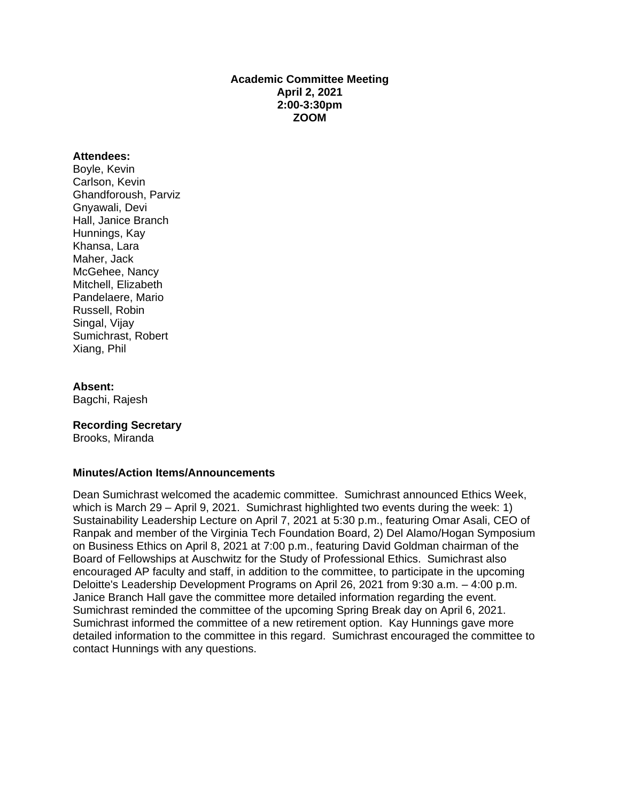# **Academic Committee Meeting April 2, 2021 2:00-3:30pm ZOOM**

#### **Attendees:**

Boyle, Kevin Carlson, Kevin Ghandforoush, Parviz Gnyawali, Devi Hall, Janice Branch Hunnings, Kay Khansa, Lara Maher, Jack McGehee, Nancy Mitchell, Elizabeth Pandelaere, Mario Russell, Robin Singal, Vijay Sumichrast, Robert Xiang, Phil

#### **Absent:**

Bagchi, Rajesh

## **Recording Secretary**

Brooks, Miranda

## **Minutes/Action Items/Announcements**

Dean Sumichrast welcomed the academic committee. Sumichrast announced Ethics Week, which is March 29 – April 9, 2021. Sumichrast highlighted two events during the week: 1) Sustainability Leadership Lecture on April 7, 2021 at 5:30 p.m., featuring Omar Asali, CEO of Ranpak and member of the Virginia Tech Foundation Board, 2) Del Alamo/Hogan Symposium on Business Ethics on April 8, 2021 at 7:00 p.m., featuring David Goldman chairman of the Board of Fellowships at Auschwitz for the Study of Professional Ethics. Sumichrast also encouraged AP faculty and staff, in addition to the committee, to participate in the upcoming Deloitte's Leadership Development Programs on April 26, 2021 from 9:30 a.m. – 4:00 p.m. Janice Branch Hall gave the committee more detailed information regarding the event. Sumichrast reminded the committee of the upcoming Spring Break day on April 6, 2021. Sumichrast informed the committee of a new retirement option. Kay Hunnings gave more detailed information to the committee in this regard. Sumichrast encouraged the committee to contact Hunnings with any questions.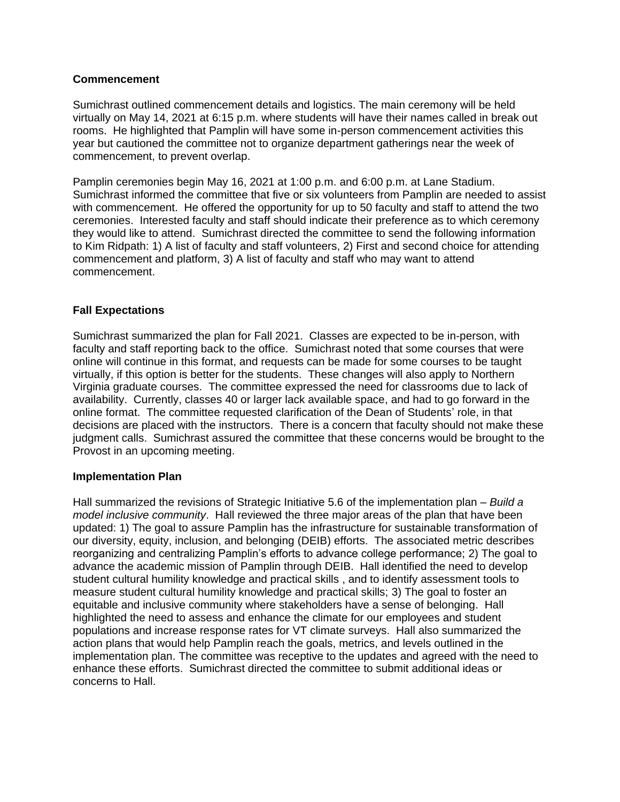# **Commencement**

Sumichrast outlined commencement details and logistics. The main ceremony will be held virtually on May 14, 2021 at 6:15 p.m. where students will have their names called in break out rooms. He highlighted that Pamplin will have some in-person commencement activities this year but cautioned the committee not to organize department gatherings near the week of commencement, to prevent overlap.

Pamplin ceremonies begin May 16, 2021 at 1:00 p.m. and 6:00 p.m. at Lane Stadium. Sumichrast informed the committee that five or six volunteers from Pamplin are needed to assist with commencement. He offered the opportunity for up to 50 faculty and staff to attend the two ceremonies. Interested faculty and staff should indicate their preference as to which ceremony they would like to attend. Sumichrast directed the committee to send the following information to Kim Ridpath: 1) A list of faculty and staff volunteers, 2) First and second choice for attending commencement and platform, 3) A list of faculty and staff who may want to attend commencement.

# **Fall Expectations**

Sumichrast summarized the plan for Fall 2021. Classes are expected to be in-person, with faculty and staff reporting back to the office. Sumichrast noted that some courses that were online will continue in this format, and requests can be made for some courses to be taught virtually, if this option is better for the students. These changes will also apply to Northern Virginia graduate courses. The committee expressed the need for classrooms due to lack of availability. Currently, classes 40 or larger lack available space, and had to go forward in the online format. The committee requested clarification of the Dean of Students' role, in that decisions are placed with the instructors. There is a concern that faculty should not make these judgment calls. Sumichrast assured the committee that these concerns would be brought to the Provost in an upcoming meeting.

## **Implementation Plan**

Hall summarized the revisions of Strategic Initiative 5.6 of the implementation plan – *Build a model inclusive community*. Hall reviewed the three major areas of the plan that have been updated: 1) The goal to assure Pamplin has the infrastructure for sustainable transformation of our diversity, equity, inclusion, and belonging (DEIB) efforts. The associated metric describes reorganizing and centralizing Pamplin's efforts to advance college performance; 2) The goal to advance the academic mission of Pamplin through DEIB. Hall identified the need to develop student cultural humility knowledge and practical skills , and to identify assessment tools to measure student cultural humility knowledge and practical skills; 3) The goal to foster an equitable and inclusive community where stakeholders have a sense of belonging. Hall highlighted the need to assess and enhance the climate for our employees and student populations and increase response rates for VT climate surveys. Hall also summarized the action plans that would help Pamplin reach the goals, metrics, and levels outlined in the implementation plan. The committee was receptive to the updates and agreed with the need to enhance these efforts. Sumichrast directed the committee to submit additional ideas or concerns to Hall.